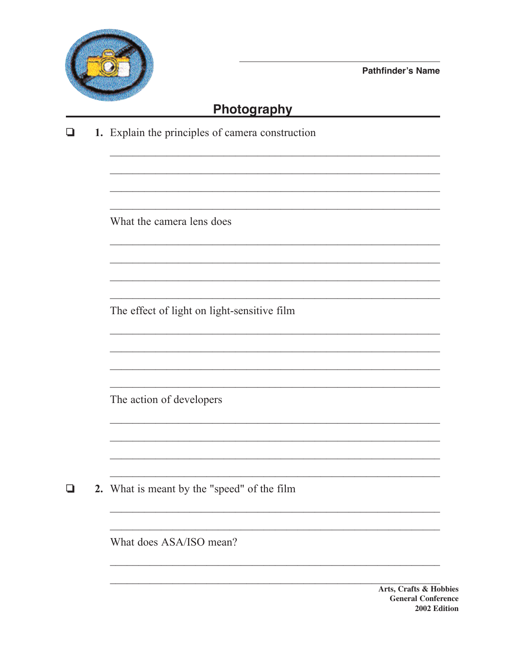

**Pathfinder's Name** 

<u> 1980 - John Stein, amerikansk politiker</u>

<u> 1999 - Johann Stoff, amerikansk politiker (d. 1989)</u>

## Photography

1. Explain the principles of camera construction  $\Box$ 

What the camera lens does

The effect of light on light-sensitive film

The action of developers

2. What is meant by the "speed" of the film O

What does ASA/ISO mean?

Arts, Crafts & Hobbies **General Conference** 2002 Edition